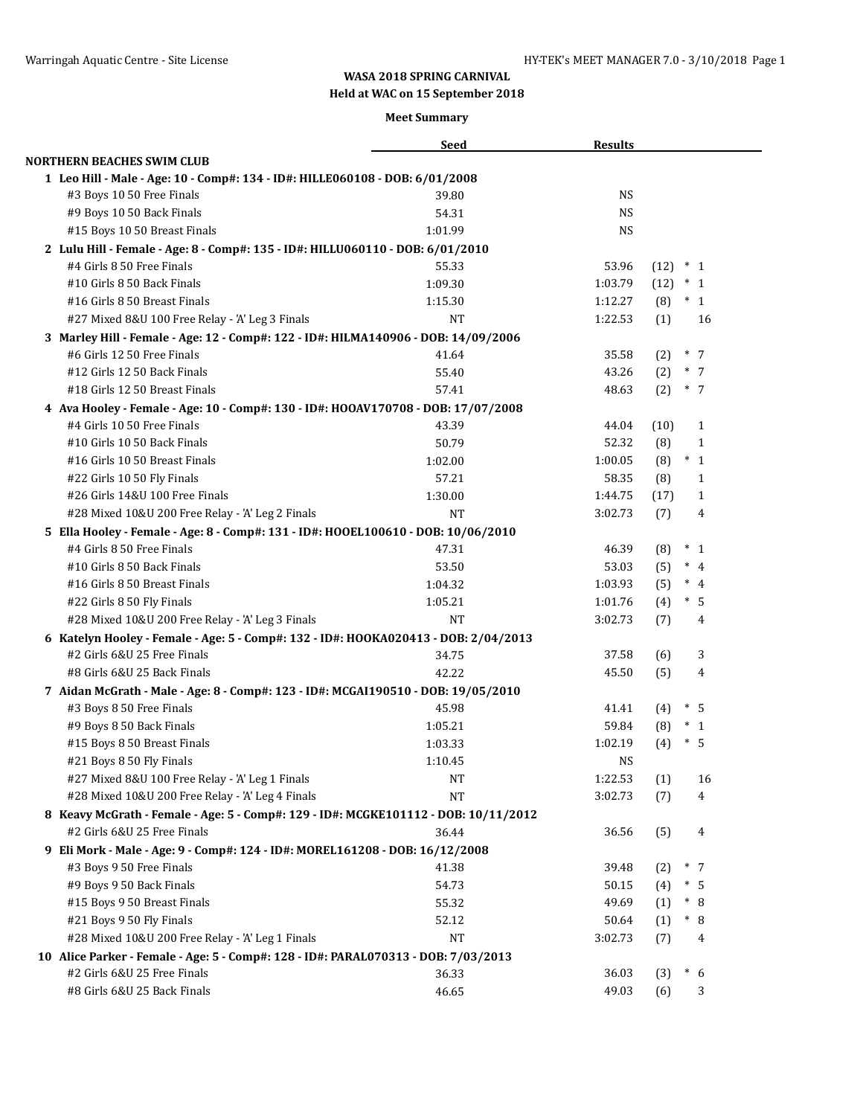# **WASA 2018 SPRING CARNIVAL**

**Held at WAC on 15 September 2018**

### **Meet Summary**

| <b>NORTHERN BEACHES SWIM CLUB</b><br>1 Leo Hill - Male - Age: 10 - Comp#: 134 - ID#: HILLE060108 - DOB: 6/01/2008<br><b>NS</b><br>#3 Boys 10 50 Free Finals<br>39.80<br>#9 Boys 10 50 Back Finals<br>54.31<br><b>NS</b><br>#15 Boys 10 50 Breast Finals<br><b>NS</b><br>1:01.99<br>2 Lulu Hill - Female - Age: 8 - Comp#: 135 - ID#: HILLU060110 - DOB: 6/01/2010<br>#4 Girls 8 50 Free Finals<br>55.33<br>53.96<br>$(12) * 1$<br>#10 Girls 8 50 Back Finals<br>1:09.30<br>1:03.79<br>$(12) * 1$<br>#16 Girls 8 50 Breast Finals<br>1:15.30<br>1:12.27<br>$(8) * 1$<br>#27 Mixed 8&U 100 Free Relay - 'A' Leg 3 Finals<br>1:22.53<br>(1)<br>16<br>NT<br>3 Marley Hill - Female - Age: 12 - Comp#: 122 - ID#: HILMA140906 - DOB: 14/09/2006<br>$*$ 7<br>#6 Girls 12 50 Free Finals<br>41.64<br>35.58<br>(2)<br>#12 Girls 12 50 Back Finals<br>43.26<br>$*$ 7<br>55.40<br>(2)<br>#18 Girls 12 50 Breast Finals<br>$\ast$<br>57.41<br>48.63<br>(2)<br>7<br>4 Ava Hooley - Female - Age: 10 - Comp#: 130 - ID#: HOOAV170708 - DOB: 17/07/2008<br>#4 Girls 10 50 Free Finals<br>43.39<br>44.04<br>(10)<br>$\mathbf{1}$<br>#10 Girls 10 50 Back Finals<br>52.32<br>50.79<br>(8)<br>$\mathbf{1}$<br>#16 Girls 10 50 Breast Finals<br>$\ast$<br>1:02.00<br>1:00.05<br>(8)<br>$\mathbf{1}$<br>57.21<br>58.35<br>#22 Girls 10 50 Fly Finals<br>$\mathbf{1}$<br>(8)<br>#26 Girls 14&U 100 Free Finals<br>1:30.00<br>1:44.75<br>(17)<br>$\mathbf{1}$<br>#28 Mixed 10&U 200 Free Relay - 'A' Leg 2 Finals<br>3:02.73<br>(7)<br>4<br>NT<br>5 Ella Hooley - Female - Age: 8 - Comp#: 131 - ID#: HOOEL100610 - DOB: 10/06/2010<br>#4 Girls 8 50 Free Finals<br>$*_{1}$<br>47.31<br>46.39<br>(8)<br>53.03<br>$*$ 4<br>#10 Girls 8 50 Back Finals<br>53.50<br>(5)<br>#16 Girls 8 50 Breast Finals<br>$*$ 4<br>1:03.93<br>(5)<br>1:04.32<br>#22 Girls 8 50 Fly Finals<br>1:05.21<br>$*$<br>1:01.76<br>(4)<br>-5<br>#28 Mixed 10&U 200 Free Relay - 'A' Leg 3 Finals<br><b>NT</b><br>3:02.73<br>(7)<br>4<br>6 Katelyn Hooley - Female - Age: 5 - Comp#: 132 - ID#: HOOKA020413 - DOB: 2/04/2013<br>#2 Girls 6&U 25 Free Finals<br>37.58<br>3<br>34.75<br>(6)<br>42.22<br>#8 Girls 6&U 25 Back Finals<br>45.50<br>(5)<br>4<br>7 Aidan McGrath - Male - Age: 8 - Comp#: 123 - ID#: MCGAI190510 - DOB: 19/05/2010<br>$*$ 5<br>#3 Boys 8 50 Free Finals<br>45.98<br>41.41<br>(4)<br>59.84<br>$*_{1}$<br>#9 Boys 8 50 Back Finals<br>1:05.21<br>(8)<br>#15 Boys 8 50 Breast Finals<br>1:03.33<br>1:02.19<br>(4)<br>$\ast$<br>5<br>NS<br>#21 Boys 8 50 Fly Finals<br>1:10.45<br>#27 Mixed 8&U 100 Free Relay - 'A' Leg 1 Finals<br>1:22.53<br>16<br>NT<br>(1)<br><b>NT</b><br>3:02.73<br>#28 Mixed 10&U 200 Free Relay - 'A' Leg 4 Finals<br>(7)<br>4<br>8 Keavy McGrath - Female - Age: 5 - Comp#: 129 - ID#: MCGKE101112 - DOB: 10/11/2012<br>#2 Girls 6&U 25 Free Finals<br>36.44<br>36.56<br>(5)<br>4<br>9 Eli Mork - Male - Age: 9 - Comp#: 124 - ID#: MOREL161208 - DOB: 16/12/2008<br>#3 Boys 9 50 Free Finals<br>39.48<br>$*$ 7<br>41.38<br>(2)<br>54.73<br>$*$ 5<br>#9 Boys 9 50 Back Finals<br>50.15<br>(4)<br>$* \ 8$<br>#15 Boys 9 50 Breast Finals<br>49.69<br>55.32<br>(1)<br>#21 Boys 9 50 Fly Finals<br>$* \ 8$<br>52.12<br>50.64<br>(1)<br>NT<br>#28 Mixed 10&U 200 Free Relay - 'A' Leg 1 Finals<br>3:02.73<br>(7)<br>4<br>10 Alice Parker - Female - Age: 5 - Comp#: 128 - ID#: PARAL070313 - DOB: 7/03/2013<br>#2 Girls 6&U 25 Free Finals<br>36.03<br>$\ast$<br>36.33<br>(3)<br>6<br>#8 Girls 6&U 25 Back Finals<br>49.03<br>46.65<br>(6)<br>3 |  | <b>Seed</b> | <b>Results</b> |  |  |
|-------------------------------------------------------------------------------------------------------------------------------------------------------------------------------------------------------------------------------------------------------------------------------------------------------------------------------------------------------------------------------------------------------------------------------------------------------------------------------------------------------------------------------------------------------------------------------------------------------------------------------------------------------------------------------------------------------------------------------------------------------------------------------------------------------------------------------------------------------------------------------------------------------------------------------------------------------------------------------------------------------------------------------------------------------------------------------------------------------------------------------------------------------------------------------------------------------------------------------------------------------------------------------------------------------------------------------------------------------------------------------------------------------------------------------------------------------------------------------------------------------------------------------------------------------------------------------------------------------------------------------------------------------------------------------------------------------------------------------------------------------------------------------------------------------------------------------------------------------------------------------------------------------------------------------------------------------------------------------------------------------------------------------------------------------------------------------------------------------------------------------------------------------------------------------------------------------------------------------------------------------------------------------------------------------------------------------------------------------------------------------------------------------------------------------------------------------------------------------------------------------------------------------------------------------------------------------------------------------------------------------------------------------------------------------------------------------------------------------------------------------------------------------------------------------------------------------------------------------------------------------------------------------------------------------------------------------------------------------------------------------------------------------------------------------------------------------------------------------------------------------------------------------------------------------------------------------------------------------------------------------------------------------------------------------------------------------------------------------------------------------------------------------------------------------------------------------------------------------------------------------------------------------------------|--|-------------|----------------|--|--|
|                                                                                                                                                                                                                                                                                                                                                                                                                                                                                                                                                                                                                                                                                                                                                                                                                                                                                                                                                                                                                                                                                                                                                                                                                                                                                                                                                                                                                                                                                                                                                                                                                                                                                                                                                                                                                                                                                                                                                                                                                                                                                                                                                                                                                                                                                                                                                                                                                                                                                                                                                                                                                                                                                                                                                                                                                                                                                                                                                                                                                                                                                                                                                                                                                                                                                                                                                                                                                                                                                                                                           |  |             |                |  |  |
|                                                                                                                                                                                                                                                                                                                                                                                                                                                                                                                                                                                                                                                                                                                                                                                                                                                                                                                                                                                                                                                                                                                                                                                                                                                                                                                                                                                                                                                                                                                                                                                                                                                                                                                                                                                                                                                                                                                                                                                                                                                                                                                                                                                                                                                                                                                                                                                                                                                                                                                                                                                                                                                                                                                                                                                                                                                                                                                                                                                                                                                                                                                                                                                                                                                                                                                                                                                                                                                                                                                                           |  |             |                |  |  |
|                                                                                                                                                                                                                                                                                                                                                                                                                                                                                                                                                                                                                                                                                                                                                                                                                                                                                                                                                                                                                                                                                                                                                                                                                                                                                                                                                                                                                                                                                                                                                                                                                                                                                                                                                                                                                                                                                                                                                                                                                                                                                                                                                                                                                                                                                                                                                                                                                                                                                                                                                                                                                                                                                                                                                                                                                                                                                                                                                                                                                                                                                                                                                                                                                                                                                                                                                                                                                                                                                                                                           |  |             |                |  |  |
|                                                                                                                                                                                                                                                                                                                                                                                                                                                                                                                                                                                                                                                                                                                                                                                                                                                                                                                                                                                                                                                                                                                                                                                                                                                                                                                                                                                                                                                                                                                                                                                                                                                                                                                                                                                                                                                                                                                                                                                                                                                                                                                                                                                                                                                                                                                                                                                                                                                                                                                                                                                                                                                                                                                                                                                                                                                                                                                                                                                                                                                                                                                                                                                                                                                                                                                                                                                                                                                                                                                                           |  |             |                |  |  |
|                                                                                                                                                                                                                                                                                                                                                                                                                                                                                                                                                                                                                                                                                                                                                                                                                                                                                                                                                                                                                                                                                                                                                                                                                                                                                                                                                                                                                                                                                                                                                                                                                                                                                                                                                                                                                                                                                                                                                                                                                                                                                                                                                                                                                                                                                                                                                                                                                                                                                                                                                                                                                                                                                                                                                                                                                                                                                                                                                                                                                                                                                                                                                                                                                                                                                                                                                                                                                                                                                                                                           |  |             |                |  |  |
|                                                                                                                                                                                                                                                                                                                                                                                                                                                                                                                                                                                                                                                                                                                                                                                                                                                                                                                                                                                                                                                                                                                                                                                                                                                                                                                                                                                                                                                                                                                                                                                                                                                                                                                                                                                                                                                                                                                                                                                                                                                                                                                                                                                                                                                                                                                                                                                                                                                                                                                                                                                                                                                                                                                                                                                                                                                                                                                                                                                                                                                                                                                                                                                                                                                                                                                                                                                                                                                                                                                                           |  |             |                |  |  |
|                                                                                                                                                                                                                                                                                                                                                                                                                                                                                                                                                                                                                                                                                                                                                                                                                                                                                                                                                                                                                                                                                                                                                                                                                                                                                                                                                                                                                                                                                                                                                                                                                                                                                                                                                                                                                                                                                                                                                                                                                                                                                                                                                                                                                                                                                                                                                                                                                                                                                                                                                                                                                                                                                                                                                                                                                                                                                                                                                                                                                                                                                                                                                                                                                                                                                                                                                                                                                                                                                                                                           |  |             |                |  |  |
|                                                                                                                                                                                                                                                                                                                                                                                                                                                                                                                                                                                                                                                                                                                                                                                                                                                                                                                                                                                                                                                                                                                                                                                                                                                                                                                                                                                                                                                                                                                                                                                                                                                                                                                                                                                                                                                                                                                                                                                                                                                                                                                                                                                                                                                                                                                                                                                                                                                                                                                                                                                                                                                                                                                                                                                                                                                                                                                                                                                                                                                                                                                                                                                                                                                                                                                                                                                                                                                                                                                                           |  |             |                |  |  |
|                                                                                                                                                                                                                                                                                                                                                                                                                                                                                                                                                                                                                                                                                                                                                                                                                                                                                                                                                                                                                                                                                                                                                                                                                                                                                                                                                                                                                                                                                                                                                                                                                                                                                                                                                                                                                                                                                                                                                                                                                                                                                                                                                                                                                                                                                                                                                                                                                                                                                                                                                                                                                                                                                                                                                                                                                                                                                                                                                                                                                                                                                                                                                                                                                                                                                                                                                                                                                                                                                                                                           |  |             |                |  |  |
|                                                                                                                                                                                                                                                                                                                                                                                                                                                                                                                                                                                                                                                                                                                                                                                                                                                                                                                                                                                                                                                                                                                                                                                                                                                                                                                                                                                                                                                                                                                                                                                                                                                                                                                                                                                                                                                                                                                                                                                                                                                                                                                                                                                                                                                                                                                                                                                                                                                                                                                                                                                                                                                                                                                                                                                                                                                                                                                                                                                                                                                                                                                                                                                                                                                                                                                                                                                                                                                                                                                                           |  |             |                |  |  |
|                                                                                                                                                                                                                                                                                                                                                                                                                                                                                                                                                                                                                                                                                                                                                                                                                                                                                                                                                                                                                                                                                                                                                                                                                                                                                                                                                                                                                                                                                                                                                                                                                                                                                                                                                                                                                                                                                                                                                                                                                                                                                                                                                                                                                                                                                                                                                                                                                                                                                                                                                                                                                                                                                                                                                                                                                                                                                                                                                                                                                                                                                                                                                                                                                                                                                                                                                                                                                                                                                                                                           |  |             |                |  |  |
|                                                                                                                                                                                                                                                                                                                                                                                                                                                                                                                                                                                                                                                                                                                                                                                                                                                                                                                                                                                                                                                                                                                                                                                                                                                                                                                                                                                                                                                                                                                                                                                                                                                                                                                                                                                                                                                                                                                                                                                                                                                                                                                                                                                                                                                                                                                                                                                                                                                                                                                                                                                                                                                                                                                                                                                                                                                                                                                                                                                                                                                                                                                                                                                                                                                                                                                                                                                                                                                                                                                                           |  |             |                |  |  |
|                                                                                                                                                                                                                                                                                                                                                                                                                                                                                                                                                                                                                                                                                                                                                                                                                                                                                                                                                                                                                                                                                                                                                                                                                                                                                                                                                                                                                                                                                                                                                                                                                                                                                                                                                                                                                                                                                                                                                                                                                                                                                                                                                                                                                                                                                                                                                                                                                                                                                                                                                                                                                                                                                                                                                                                                                                                                                                                                                                                                                                                                                                                                                                                                                                                                                                                                                                                                                                                                                                                                           |  |             |                |  |  |
|                                                                                                                                                                                                                                                                                                                                                                                                                                                                                                                                                                                                                                                                                                                                                                                                                                                                                                                                                                                                                                                                                                                                                                                                                                                                                                                                                                                                                                                                                                                                                                                                                                                                                                                                                                                                                                                                                                                                                                                                                                                                                                                                                                                                                                                                                                                                                                                                                                                                                                                                                                                                                                                                                                                                                                                                                                                                                                                                                                                                                                                                                                                                                                                                                                                                                                                                                                                                                                                                                                                                           |  |             |                |  |  |
|                                                                                                                                                                                                                                                                                                                                                                                                                                                                                                                                                                                                                                                                                                                                                                                                                                                                                                                                                                                                                                                                                                                                                                                                                                                                                                                                                                                                                                                                                                                                                                                                                                                                                                                                                                                                                                                                                                                                                                                                                                                                                                                                                                                                                                                                                                                                                                                                                                                                                                                                                                                                                                                                                                                                                                                                                                                                                                                                                                                                                                                                                                                                                                                                                                                                                                                                                                                                                                                                                                                                           |  |             |                |  |  |
|                                                                                                                                                                                                                                                                                                                                                                                                                                                                                                                                                                                                                                                                                                                                                                                                                                                                                                                                                                                                                                                                                                                                                                                                                                                                                                                                                                                                                                                                                                                                                                                                                                                                                                                                                                                                                                                                                                                                                                                                                                                                                                                                                                                                                                                                                                                                                                                                                                                                                                                                                                                                                                                                                                                                                                                                                                                                                                                                                                                                                                                                                                                                                                                                                                                                                                                                                                                                                                                                                                                                           |  |             |                |  |  |
|                                                                                                                                                                                                                                                                                                                                                                                                                                                                                                                                                                                                                                                                                                                                                                                                                                                                                                                                                                                                                                                                                                                                                                                                                                                                                                                                                                                                                                                                                                                                                                                                                                                                                                                                                                                                                                                                                                                                                                                                                                                                                                                                                                                                                                                                                                                                                                                                                                                                                                                                                                                                                                                                                                                                                                                                                                                                                                                                                                                                                                                                                                                                                                                                                                                                                                                                                                                                                                                                                                                                           |  |             |                |  |  |
|                                                                                                                                                                                                                                                                                                                                                                                                                                                                                                                                                                                                                                                                                                                                                                                                                                                                                                                                                                                                                                                                                                                                                                                                                                                                                                                                                                                                                                                                                                                                                                                                                                                                                                                                                                                                                                                                                                                                                                                                                                                                                                                                                                                                                                                                                                                                                                                                                                                                                                                                                                                                                                                                                                                                                                                                                                                                                                                                                                                                                                                                                                                                                                                                                                                                                                                                                                                                                                                                                                                                           |  |             |                |  |  |
|                                                                                                                                                                                                                                                                                                                                                                                                                                                                                                                                                                                                                                                                                                                                                                                                                                                                                                                                                                                                                                                                                                                                                                                                                                                                                                                                                                                                                                                                                                                                                                                                                                                                                                                                                                                                                                                                                                                                                                                                                                                                                                                                                                                                                                                                                                                                                                                                                                                                                                                                                                                                                                                                                                                                                                                                                                                                                                                                                                                                                                                                                                                                                                                                                                                                                                                                                                                                                                                                                                                                           |  |             |                |  |  |
|                                                                                                                                                                                                                                                                                                                                                                                                                                                                                                                                                                                                                                                                                                                                                                                                                                                                                                                                                                                                                                                                                                                                                                                                                                                                                                                                                                                                                                                                                                                                                                                                                                                                                                                                                                                                                                                                                                                                                                                                                                                                                                                                                                                                                                                                                                                                                                                                                                                                                                                                                                                                                                                                                                                                                                                                                                                                                                                                                                                                                                                                                                                                                                                                                                                                                                                                                                                                                                                                                                                                           |  |             |                |  |  |
|                                                                                                                                                                                                                                                                                                                                                                                                                                                                                                                                                                                                                                                                                                                                                                                                                                                                                                                                                                                                                                                                                                                                                                                                                                                                                                                                                                                                                                                                                                                                                                                                                                                                                                                                                                                                                                                                                                                                                                                                                                                                                                                                                                                                                                                                                                                                                                                                                                                                                                                                                                                                                                                                                                                                                                                                                                                                                                                                                                                                                                                                                                                                                                                                                                                                                                                                                                                                                                                                                                                                           |  |             |                |  |  |
|                                                                                                                                                                                                                                                                                                                                                                                                                                                                                                                                                                                                                                                                                                                                                                                                                                                                                                                                                                                                                                                                                                                                                                                                                                                                                                                                                                                                                                                                                                                                                                                                                                                                                                                                                                                                                                                                                                                                                                                                                                                                                                                                                                                                                                                                                                                                                                                                                                                                                                                                                                                                                                                                                                                                                                                                                                                                                                                                                                                                                                                                                                                                                                                                                                                                                                                                                                                                                                                                                                                                           |  |             |                |  |  |
|                                                                                                                                                                                                                                                                                                                                                                                                                                                                                                                                                                                                                                                                                                                                                                                                                                                                                                                                                                                                                                                                                                                                                                                                                                                                                                                                                                                                                                                                                                                                                                                                                                                                                                                                                                                                                                                                                                                                                                                                                                                                                                                                                                                                                                                                                                                                                                                                                                                                                                                                                                                                                                                                                                                                                                                                                                                                                                                                                                                                                                                                                                                                                                                                                                                                                                                                                                                                                                                                                                                                           |  |             |                |  |  |
|                                                                                                                                                                                                                                                                                                                                                                                                                                                                                                                                                                                                                                                                                                                                                                                                                                                                                                                                                                                                                                                                                                                                                                                                                                                                                                                                                                                                                                                                                                                                                                                                                                                                                                                                                                                                                                                                                                                                                                                                                                                                                                                                                                                                                                                                                                                                                                                                                                                                                                                                                                                                                                                                                                                                                                                                                                                                                                                                                                                                                                                                                                                                                                                                                                                                                                                                                                                                                                                                                                                                           |  |             |                |  |  |
|                                                                                                                                                                                                                                                                                                                                                                                                                                                                                                                                                                                                                                                                                                                                                                                                                                                                                                                                                                                                                                                                                                                                                                                                                                                                                                                                                                                                                                                                                                                                                                                                                                                                                                                                                                                                                                                                                                                                                                                                                                                                                                                                                                                                                                                                                                                                                                                                                                                                                                                                                                                                                                                                                                                                                                                                                                                                                                                                                                                                                                                                                                                                                                                                                                                                                                                                                                                                                                                                                                                                           |  |             |                |  |  |
|                                                                                                                                                                                                                                                                                                                                                                                                                                                                                                                                                                                                                                                                                                                                                                                                                                                                                                                                                                                                                                                                                                                                                                                                                                                                                                                                                                                                                                                                                                                                                                                                                                                                                                                                                                                                                                                                                                                                                                                                                                                                                                                                                                                                                                                                                                                                                                                                                                                                                                                                                                                                                                                                                                                                                                                                                                                                                                                                                                                                                                                                                                                                                                                                                                                                                                                                                                                                                                                                                                                                           |  |             |                |  |  |
|                                                                                                                                                                                                                                                                                                                                                                                                                                                                                                                                                                                                                                                                                                                                                                                                                                                                                                                                                                                                                                                                                                                                                                                                                                                                                                                                                                                                                                                                                                                                                                                                                                                                                                                                                                                                                                                                                                                                                                                                                                                                                                                                                                                                                                                                                                                                                                                                                                                                                                                                                                                                                                                                                                                                                                                                                                                                                                                                                                                                                                                                                                                                                                                                                                                                                                                                                                                                                                                                                                                                           |  |             |                |  |  |
|                                                                                                                                                                                                                                                                                                                                                                                                                                                                                                                                                                                                                                                                                                                                                                                                                                                                                                                                                                                                                                                                                                                                                                                                                                                                                                                                                                                                                                                                                                                                                                                                                                                                                                                                                                                                                                                                                                                                                                                                                                                                                                                                                                                                                                                                                                                                                                                                                                                                                                                                                                                                                                                                                                                                                                                                                                                                                                                                                                                                                                                                                                                                                                                                                                                                                                                                                                                                                                                                                                                                           |  |             |                |  |  |
|                                                                                                                                                                                                                                                                                                                                                                                                                                                                                                                                                                                                                                                                                                                                                                                                                                                                                                                                                                                                                                                                                                                                                                                                                                                                                                                                                                                                                                                                                                                                                                                                                                                                                                                                                                                                                                                                                                                                                                                                                                                                                                                                                                                                                                                                                                                                                                                                                                                                                                                                                                                                                                                                                                                                                                                                                                                                                                                                                                                                                                                                                                                                                                                                                                                                                                                                                                                                                                                                                                                                           |  |             |                |  |  |
|                                                                                                                                                                                                                                                                                                                                                                                                                                                                                                                                                                                                                                                                                                                                                                                                                                                                                                                                                                                                                                                                                                                                                                                                                                                                                                                                                                                                                                                                                                                                                                                                                                                                                                                                                                                                                                                                                                                                                                                                                                                                                                                                                                                                                                                                                                                                                                                                                                                                                                                                                                                                                                                                                                                                                                                                                                                                                                                                                                                                                                                                                                                                                                                                                                                                                                                                                                                                                                                                                                                                           |  |             |                |  |  |
|                                                                                                                                                                                                                                                                                                                                                                                                                                                                                                                                                                                                                                                                                                                                                                                                                                                                                                                                                                                                                                                                                                                                                                                                                                                                                                                                                                                                                                                                                                                                                                                                                                                                                                                                                                                                                                                                                                                                                                                                                                                                                                                                                                                                                                                                                                                                                                                                                                                                                                                                                                                                                                                                                                                                                                                                                                                                                                                                                                                                                                                                                                                                                                                                                                                                                                                                                                                                                                                                                                                                           |  |             |                |  |  |
|                                                                                                                                                                                                                                                                                                                                                                                                                                                                                                                                                                                                                                                                                                                                                                                                                                                                                                                                                                                                                                                                                                                                                                                                                                                                                                                                                                                                                                                                                                                                                                                                                                                                                                                                                                                                                                                                                                                                                                                                                                                                                                                                                                                                                                                                                                                                                                                                                                                                                                                                                                                                                                                                                                                                                                                                                                                                                                                                                                                                                                                                                                                                                                                                                                                                                                                                                                                                                                                                                                                                           |  |             |                |  |  |
|                                                                                                                                                                                                                                                                                                                                                                                                                                                                                                                                                                                                                                                                                                                                                                                                                                                                                                                                                                                                                                                                                                                                                                                                                                                                                                                                                                                                                                                                                                                                                                                                                                                                                                                                                                                                                                                                                                                                                                                                                                                                                                                                                                                                                                                                                                                                                                                                                                                                                                                                                                                                                                                                                                                                                                                                                                                                                                                                                                                                                                                                                                                                                                                                                                                                                                                                                                                                                                                                                                                                           |  |             |                |  |  |
|                                                                                                                                                                                                                                                                                                                                                                                                                                                                                                                                                                                                                                                                                                                                                                                                                                                                                                                                                                                                                                                                                                                                                                                                                                                                                                                                                                                                                                                                                                                                                                                                                                                                                                                                                                                                                                                                                                                                                                                                                                                                                                                                                                                                                                                                                                                                                                                                                                                                                                                                                                                                                                                                                                                                                                                                                                                                                                                                                                                                                                                                                                                                                                                                                                                                                                                                                                                                                                                                                                                                           |  |             |                |  |  |
|                                                                                                                                                                                                                                                                                                                                                                                                                                                                                                                                                                                                                                                                                                                                                                                                                                                                                                                                                                                                                                                                                                                                                                                                                                                                                                                                                                                                                                                                                                                                                                                                                                                                                                                                                                                                                                                                                                                                                                                                                                                                                                                                                                                                                                                                                                                                                                                                                                                                                                                                                                                                                                                                                                                                                                                                                                                                                                                                                                                                                                                                                                                                                                                                                                                                                                                                                                                                                                                                                                                                           |  |             |                |  |  |
|                                                                                                                                                                                                                                                                                                                                                                                                                                                                                                                                                                                                                                                                                                                                                                                                                                                                                                                                                                                                                                                                                                                                                                                                                                                                                                                                                                                                                                                                                                                                                                                                                                                                                                                                                                                                                                                                                                                                                                                                                                                                                                                                                                                                                                                                                                                                                                                                                                                                                                                                                                                                                                                                                                                                                                                                                                                                                                                                                                                                                                                                                                                                                                                                                                                                                                                                                                                                                                                                                                                                           |  |             |                |  |  |
|                                                                                                                                                                                                                                                                                                                                                                                                                                                                                                                                                                                                                                                                                                                                                                                                                                                                                                                                                                                                                                                                                                                                                                                                                                                                                                                                                                                                                                                                                                                                                                                                                                                                                                                                                                                                                                                                                                                                                                                                                                                                                                                                                                                                                                                                                                                                                                                                                                                                                                                                                                                                                                                                                                                                                                                                                                                                                                                                                                                                                                                                                                                                                                                                                                                                                                                                                                                                                                                                                                                                           |  |             |                |  |  |
|                                                                                                                                                                                                                                                                                                                                                                                                                                                                                                                                                                                                                                                                                                                                                                                                                                                                                                                                                                                                                                                                                                                                                                                                                                                                                                                                                                                                                                                                                                                                                                                                                                                                                                                                                                                                                                                                                                                                                                                                                                                                                                                                                                                                                                                                                                                                                                                                                                                                                                                                                                                                                                                                                                                                                                                                                                                                                                                                                                                                                                                                                                                                                                                                                                                                                                                                                                                                                                                                                                                                           |  |             |                |  |  |
|                                                                                                                                                                                                                                                                                                                                                                                                                                                                                                                                                                                                                                                                                                                                                                                                                                                                                                                                                                                                                                                                                                                                                                                                                                                                                                                                                                                                                                                                                                                                                                                                                                                                                                                                                                                                                                                                                                                                                                                                                                                                                                                                                                                                                                                                                                                                                                                                                                                                                                                                                                                                                                                                                                                                                                                                                                                                                                                                                                                                                                                                                                                                                                                                                                                                                                                                                                                                                                                                                                                                           |  |             |                |  |  |
|                                                                                                                                                                                                                                                                                                                                                                                                                                                                                                                                                                                                                                                                                                                                                                                                                                                                                                                                                                                                                                                                                                                                                                                                                                                                                                                                                                                                                                                                                                                                                                                                                                                                                                                                                                                                                                                                                                                                                                                                                                                                                                                                                                                                                                                                                                                                                                                                                                                                                                                                                                                                                                                                                                                                                                                                                                                                                                                                                                                                                                                                                                                                                                                                                                                                                                                                                                                                                                                                                                                                           |  |             |                |  |  |
|                                                                                                                                                                                                                                                                                                                                                                                                                                                                                                                                                                                                                                                                                                                                                                                                                                                                                                                                                                                                                                                                                                                                                                                                                                                                                                                                                                                                                                                                                                                                                                                                                                                                                                                                                                                                                                                                                                                                                                                                                                                                                                                                                                                                                                                                                                                                                                                                                                                                                                                                                                                                                                                                                                                                                                                                                                                                                                                                                                                                                                                                                                                                                                                                                                                                                                                                                                                                                                                                                                                                           |  |             |                |  |  |
|                                                                                                                                                                                                                                                                                                                                                                                                                                                                                                                                                                                                                                                                                                                                                                                                                                                                                                                                                                                                                                                                                                                                                                                                                                                                                                                                                                                                                                                                                                                                                                                                                                                                                                                                                                                                                                                                                                                                                                                                                                                                                                                                                                                                                                                                                                                                                                                                                                                                                                                                                                                                                                                                                                                                                                                                                                                                                                                                                                                                                                                                                                                                                                                                                                                                                                                                                                                                                                                                                                                                           |  |             |                |  |  |
|                                                                                                                                                                                                                                                                                                                                                                                                                                                                                                                                                                                                                                                                                                                                                                                                                                                                                                                                                                                                                                                                                                                                                                                                                                                                                                                                                                                                                                                                                                                                                                                                                                                                                                                                                                                                                                                                                                                                                                                                                                                                                                                                                                                                                                                                                                                                                                                                                                                                                                                                                                                                                                                                                                                                                                                                                                                                                                                                                                                                                                                                                                                                                                                                                                                                                                                                                                                                                                                                                                                                           |  |             |                |  |  |
|                                                                                                                                                                                                                                                                                                                                                                                                                                                                                                                                                                                                                                                                                                                                                                                                                                                                                                                                                                                                                                                                                                                                                                                                                                                                                                                                                                                                                                                                                                                                                                                                                                                                                                                                                                                                                                                                                                                                                                                                                                                                                                                                                                                                                                                                                                                                                                                                                                                                                                                                                                                                                                                                                                                                                                                                                                                                                                                                                                                                                                                                                                                                                                                                                                                                                                                                                                                                                                                                                                                                           |  |             |                |  |  |
|                                                                                                                                                                                                                                                                                                                                                                                                                                                                                                                                                                                                                                                                                                                                                                                                                                                                                                                                                                                                                                                                                                                                                                                                                                                                                                                                                                                                                                                                                                                                                                                                                                                                                                                                                                                                                                                                                                                                                                                                                                                                                                                                                                                                                                                                                                                                                                                                                                                                                                                                                                                                                                                                                                                                                                                                                                                                                                                                                                                                                                                                                                                                                                                                                                                                                                                                                                                                                                                                                                                                           |  |             |                |  |  |
|                                                                                                                                                                                                                                                                                                                                                                                                                                                                                                                                                                                                                                                                                                                                                                                                                                                                                                                                                                                                                                                                                                                                                                                                                                                                                                                                                                                                                                                                                                                                                                                                                                                                                                                                                                                                                                                                                                                                                                                                                                                                                                                                                                                                                                                                                                                                                                                                                                                                                                                                                                                                                                                                                                                                                                                                                                                                                                                                                                                                                                                                                                                                                                                                                                                                                                                                                                                                                                                                                                                                           |  |             |                |  |  |
|                                                                                                                                                                                                                                                                                                                                                                                                                                                                                                                                                                                                                                                                                                                                                                                                                                                                                                                                                                                                                                                                                                                                                                                                                                                                                                                                                                                                                                                                                                                                                                                                                                                                                                                                                                                                                                                                                                                                                                                                                                                                                                                                                                                                                                                                                                                                                                                                                                                                                                                                                                                                                                                                                                                                                                                                                                                                                                                                                                                                                                                                                                                                                                                                                                                                                                                                                                                                                                                                                                                                           |  |             |                |  |  |
|                                                                                                                                                                                                                                                                                                                                                                                                                                                                                                                                                                                                                                                                                                                                                                                                                                                                                                                                                                                                                                                                                                                                                                                                                                                                                                                                                                                                                                                                                                                                                                                                                                                                                                                                                                                                                                                                                                                                                                                                                                                                                                                                                                                                                                                                                                                                                                                                                                                                                                                                                                                                                                                                                                                                                                                                                                                                                                                                                                                                                                                                                                                                                                                                                                                                                                                                                                                                                                                                                                                                           |  |             |                |  |  |